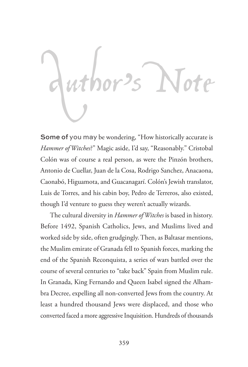# Author's Note

Some of you may be wondering, "How historically accurate is *Hammer of Witches*?" Magic aside, I'd say, "Reasonably." Cristobal Colón was of course a real person, as were the Pinzón brothers, Antonio de Cuellar, Juan de la Cosa, Rodrigo Sanchez, Anacaona, Caonabó, Higuamota, and Guacanagarí. Colón's Jewish translator, Luis de Torres, and his cabin boy, Pedro de Terreros, also existed, though I'd venture to guess they weren't actually wizards.

The cultural diversity in *Hammer of Witches* is based in history. Before 1492, Spanish Catholics, Jews, and Muslims lived and worked side by side, often grudgingly. Then, as Baltasar mentions, the Muslim emirate of Granada fell to Spanish forces, marking the end of the Spanish Reconquista, a series of wars battled over the course of several centuries to "take back" Spain from Muslim rule. In Granada, King Fernando and Queen Isabel signed the Alhambra Decree, expelling all non-converted Jews from the country. At least a hundred thousand Jews were displaced, and those who converted faced a more aggressive Inquisition. Hundreds of thousands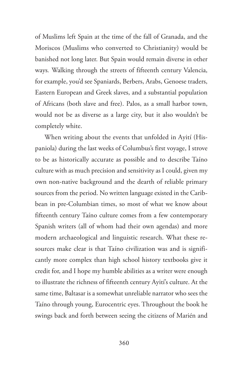of Muslims left Spain at the time of the fall of Granada, and the Moriscos (Muslims who converted to Christianity) would be banished not long later. But Spain would remain diverse in other ways*.* Walking through the streets of fifteenth century Valencia, for example, you'd see Spaniards, Berbers, Arabs, Genoese traders, Eastern European and Greek slaves, and a substantial population of Africans (both slave and free). Palos, as a small harbor town, would not be as diverse as a large city, but it also wouldn't be completely white.

When writing about the events that unfolded in Ayití (Hispaniola) during the last weeks of Columbus's first voyage, I strove to be as historically accurate as possible and to describe Taíno culture with as much precision and sensitivity as I could, given my own non-native background and the dearth of reliable primary sources from the period. No written language existed in the Caribbean in pre-Columbian times, so most of what we know about fifteenth century Taíno culture comes from a few contemporary Spanish writers (all of whom had their own agendas) and more modern archaeological and linguistic research. What these resources make clear is that Taíno civilization was and is significantly more complex than high school history textbooks give it credit for, and I hope my humble abilities as a writer were enough to illustrate the richness of fifteenth century Ayití's culture. At the same time, Baltasar is a somewhat unreliable narrator who sees the Taíno through young, Eurocentric eyes. Throughout the book he swings back and forth between seeing the citizens of Marién and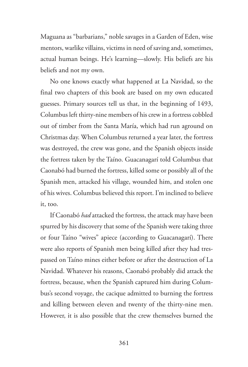Maguana as "barbarians," noble savages in a Garden of Eden, wise mentors, warlike villains, victims in need of saving and, sometimes, actual human beings. He's learning—slowly. His beliefs are his beliefs and not my own.

No one knows exactly what happened at La Navidad, so the final two chapters of this book are based on my own educated guesses. Primary sources tell us that, in the beginning of 1493, Columbus left thirty-nine members of his crew in a fortress cobbled out of timber from the Santa María, which had run aground on Christmas day. When Columbus returned a year later, the fortress was destroyed, the crew was gone, and the Spanish objects inside the fortress taken by the Taíno. Guacanagarí told Columbus that Caonabó had burned the fortress, killed some or possibly all of the Spanish men, attacked his village, wounded him, and stolen one of his wives. Columbus believed this report. I'm inclined to believe it, too.

If Caonabó *had* attacked the fortress, the attack may have been spurred by his discovery that some of the Spanish were taking three or four Taíno "wives" apiece (according to Guacanagarí). There were also reports of Spanish men being killed after they had trespassed on Taíno mines either before or after the destruction of La Navidad. Whatever his reasons, Caonabó probably did attack the fortress, because, when the Spanish captured him during Columbus's second voyage, the cacique admitted to burning the fortress and killing between eleven and twenty of the thirty-nine men. However, it is also possible that the crew themselves burned the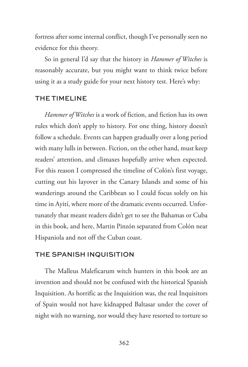fortress after some internal conflict, though I've personally seen no evidence for this theory.

So in general I'd say that the history in *Hammer of Witches* is reasonably accurate, but you might want to think twice before using it as a study guide for your next history test. Here's why:

# THE TIMELINE

*Hammer of Witches* is a work of fiction, and fiction has its own rules which don't apply to history. For one thing, history doesn't follow a schedule. Events can happen gradually over a long period with many lulls in between. Fiction, on the other hand, must keep readers' attention, and climaxes hopefully arrive when expected. For this reason I compressed the timeline of Colón's first voyage, cutting out his layover in the Canary Islands and some of his wanderings around the Caribbean so I could focus solely on his time in Ayití, where more of the dramatic events occurred. Unfortunately that meant readers didn't get to see the Bahamas or Cuba in this book, and here, Martin Pinzón separated from Colón near Hispaniola and not off the Cuban coast.

### THE SPANISH INQUISITION

The Malleus Maleficarum witch hunters in this book are an invention and should not be confused with the historical Spanish Inquisition. As horrific as the Inquisition was, the real Inquisitors of Spain would not have kidnapped Baltasar under the cover of night with no warning, nor would they have resorted to torture so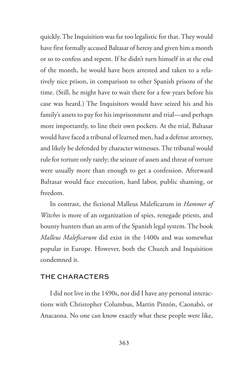quickly. The Inquisition was far too legalistic for that. They would have first formally accused Baltasar of heresy and given him a month or so to confess and repent. If he didn't turn himself in at the end of the month, he would have been arrested and taken to a relatively nice prison, in comparison to other Spanish prisons of the time. (Still, he might have to wait there for a few years before his case was heard.) The Inquisitors would have seized his and his family's assets to pay for his imprisonment and trial—and perhaps more importantly, to line their own pockets. At the trial, Baltasar would have faced a tribunal of learned men, had a defense attorney, and likely be defended by character witnesses. The tribunal would rule for torture only rarely; the seizure of assets and threat of torture were usually more than enough to get a confession. Afterward Baltasar would face execution, hard labor, public shaming, or freedom.

In contrast, the fictional Malleus Maleficarum in *Hammer of Witches* is more of an organization of spies, renegade priests, and bounty hunters than an arm of the Spanish legal system. The book *Malleus Maleficarum* did exist in the 1400s and was somewhat popular in Europe. However, both the Church and Inquisition condemned it.

### THE CHARACTERS

I did not live in the 1490s, nor did I have any personal interactions with Christopher Columbus, Martin Pinzón, Caonabó, or Anacaona. No one can know exactly what these people were like,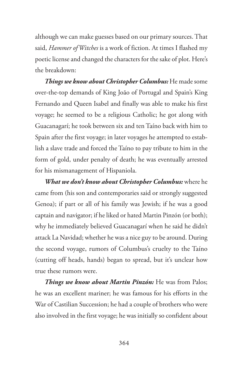although we can make guesses based on our primary sources. That said, *Hammer of Witches* is a work of fiction. At times I flashed my poetic license and changed the characters for the sake of plot. Here's the breakdown:

*Things we know about Christopher Columbus:* He made some over-the-top demands of King João of Portugal and Spain's King Fernando and Queen Isabel and finally was able to make his first voyage; he seemed to be a religious Catholic; he got along with Guacanagarí; he took between six and ten Taíno back with him to Spain after the first voyage; in later voyages he attempted to establish a slave trade and forced the Taíno to pay tribute to him in the form of gold, under penalty of death; he was eventually arrested for his mismanagement of Hispaniola.

*What we don't know about Christopher Columbus:* where he came from (his son and contemporaries said or strongly suggested Genoa); if part or all of his family was Jewish; if he was a good captain and navigator; if he liked or hated Martin Pinzón (or both); why he immediately believed Guacanagarí when he said he didn't attack La Navidad; whether he was a nice guy to be around. During the second voyage, rumors of Columbus's cruelty to the Taíno (cutting off heads, hands) began to spread, but it's unclear how true these rumors were.

*Things we know about Martin Pinzón:* He was from Palos; he was an excellent mariner; he was famous for his efforts in the War of Castilian Succession; he had a couple of brothers who were also involved in the first voyage; he was initially so confident about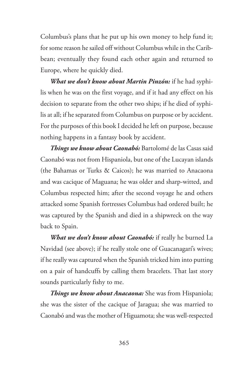Columbus's plans that he put up his own money to help fund it; for some reason he sailed off without Columbus while in the Caribbean; eventually they found each other again and returned to Europe, where he quickly died.

*What we don't know about Martin Pinzón:* if he had syphilis when he was on the first voyage, and if it had any effect on his decision to separate from the other two ships; if he died of syphilis at all; if he separated from Columbus on purpose or by accident. For the purposes of this book I decided he left on purpose, because nothing happens in a fantasy book by accident.

*Things we know about Caonabó:* Bartolomé de las Casas said Caonabó was not from Hispaniola, but one of the Lucayan islands (the Bahamas or Turks & Caicos); he was married to Anacaona and was cacique of Maguana; he was older and sharp-witted, and Columbus respected him; after the second voyage he and others attacked some Spanish fortresses Columbus had ordered built; he was captured by the Spanish and died in a shipwreck on the way back to Spain.

*What we don't know about Caonabó:* if really he burned La Navidad (see above); if he really stole one of Guacanagarí's wives; if he really was captured when the Spanish tricked him into putting on a pair of handcuffs by calling them bracelets. That last story sounds particularly fishy to me.

*Things we know about Anacaona:* She was from Hispaniola; she was the sister of the cacique of Jaragua; she was married to Caonabó and was the mother of Higuamota; she was well-respected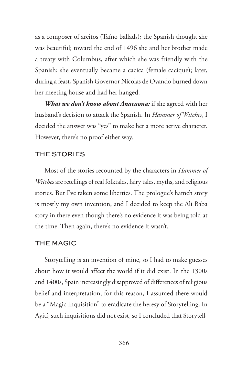as a composer of areitos (Taíno ballads); the Spanish thought she was beautiful; toward the end of 1496 she and her brother made a treaty with Columbus, after which she was friendly with the Spanish; she eventually became a cacica (female cacique); later, during a feast, Spanish Governor Nicolas de Ovando burned down her meeting house and had her hanged.

*What we don't know about Anacaona:* if she agreed with her husband's decision to attack the Spanish. In *Hammer of Witches*, I decided the answer was "yes" to make her a more active character. However, there's no proof either way.

### THE STORIES

Most of the stories recounted by the characters in *Hammer of Witches* are retellings of real folktales, fairy tales, myths, and religious stories. But I've taken some liberties. The prologue's hameh story is mostly my own invention, and I decided to keep the Ali Baba story in there even though there's no evidence it was being told at the time. Then again, there's no evidence it wasn't.

### THE MAGIC

Storytelling is an invention of mine, so I had to make guesses about how it would affect the world if it did exist. In the 1300s and 1400s, Spain increasingly disapproved of differences of religious belief and interpretation; for this reason, I assumed there would be a "Magic Inquisition" to eradicate the heresy of Storytelling. In Ayití, such inquisitions did not exist, so I concluded that Storytell-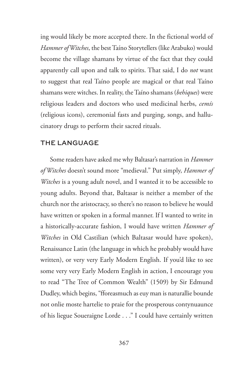ing would likely be more accepted there. In the fictional world of *Hammer of Witches*, the best Taíno Storytellers (like Arabuko) would become the village shamans by virtue of the fact that they could apparently call upon and talk to spirits. That said, I do *not* want to suggest that real Taíno people are magical or that real Taíno shamans were witches. In reality, the Taíno shamans (*behiques*) were religious leaders and doctors who used medicinal herbs, *cemís*  (religious icons), ceremonial fasts and purging, songs, and hallucinatory drugs to perform their sacred rituals.

## THE LANGUAGE

Some readers have asked me why Baltasar's narration in *Hammer of Witches* doesn't sound more "medieval." Put simply, *Hammer of Witches* is a young adult novel, and I wanted it to be accessible to young adults. Beyond that, Baltasar is neither a member of the church nor the aristocracy, so there's no reason to believe he would have written or spoken in a formal manner. If I wanted to write in a historically-accurate fashion, I would have written *Hammer of Witches* in Old Castilian (which Baltasar would have spoken), Renaissance Latin (the language in which he probably would have written), or very very Early Modern English. If you'd like to see some very very Early Modern English in action, I encourage you to read "The Tree of Common Wealth" (1509) by Sir Edmund Dudley, which begins, "fforeasmuch as euy man is naturallie bounde not onlie moste hartelie to praie for the prosperous contynuaunce of his liegue Soueraigne Lorde . . ." I could have certainly written